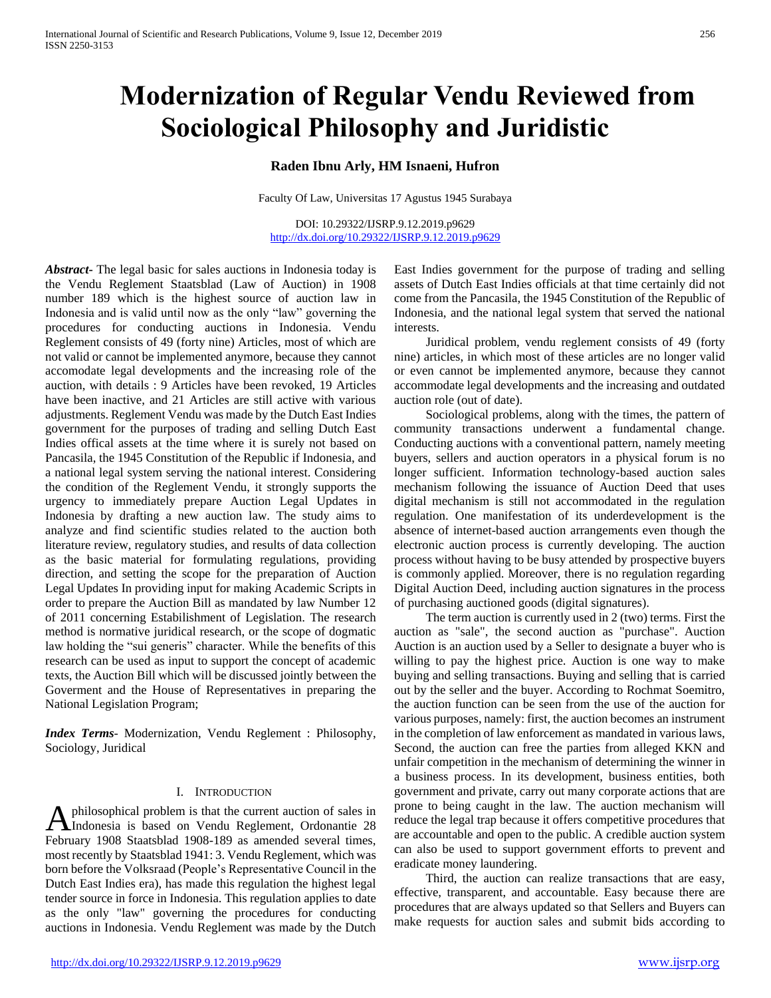# **Modernization of Regular Vendu Reviewed from Sociological Philosophy and Juridistic**

# **Raden Ibnu Arly, HM Isnaeni, Hufron**

Faculty Of Law, Universitas 17 Agustus 1945 Surabaya

DOI: 10.29322/IJSRP.9.12.2019.p9629 <http://dx.doi.org/10.29322/IJSRP.9.12.2019.p9629>

*Abstract***-** The legal basic for sales auctions in Indonesia today is the Vendu Reglement Staatsblad (Law of Auction) in 1908 number 189 which is the highest source of auction law in Indonesia and is valid until now as the only "law" governing the procedures for conducting auctions in Indonesia. Vendu Reglement consists of 49 (forty nine) Articles, most of which are not valid or cannot be implemented anymore, because they cannot accomodate legal developments and the increasing role of the auction, with details : 9 Articles have been revoked, 19 Articles have been inactive, and 21 Articles are still active with various adjustments. Reglement Vendu was made by the Dutch East Indies government for the purposes of trading and selling Dutch East Indies offical assets at the time where it is surely not based on Pancasila, the 1945 Constitution of the Republic if Indonesia, and a national legal system serving the national interest. Considering the condition of the Reglement Vendu, it strongly supports the urgency to immediately prepare Auction Legal Updates in Indonesia by drafting a new auction law. The study aims to analyze and find scientific studies related to the auction both literature review, regulatory studies, and results of data collection as the basic material for formulating regulations, providing direction, and setting the scope for the preparation of Auction Legal Updates In providing input for making Academic Scripts in order to prepare the Auction Bill as mandated by law Number 12 of 2011 concerning Estabilishment of Legislation. The research method is normative juridical research, or the scope of dogmatic law holding the "sui generis" character. While the benefits of this research can be used as input to support the concept of academic texts, the Auction Bill which will be discussed jointly between the Goverment and the House of Representatives in preparing the National Legislation Program;

*Index Terms*- Modernization, Vendu Reglement : Philosophy, Sociology, Juridical

#### I. INTRODUCTION

philosophical problem is that the current auction of sales in Aphilosophical problem is that the current auction of sales in<br>
Indonesia is based on Vendu Reglement, Ordonantie 28 February 1908 Staatsblad 1908-189 as amended several times, most recently by Staatsblad 1941: 3. Vendu Reglement, which was born before the Volksraad (People's Representative Council in the Dutch East Indies era), has made this regulation the highest legal tender source in force in Indonesia. This regulation applies to date as the only "law" governing the procedures for conducting auctions in Indonesia. Vendu Reglement was made by the Dutch

East Indies government for the purpose of trading and selling assets of Dutch East Indies officials at that time certainly did not come from the Pancasila, the 1945 Constitution of the Republic of Indonesia, and the national legal system that served the national interests.

 Juridical problem, vendu reglement consists of 49 (forty nine) articles, in which most of these articles are no longer valid or even cannot be implemented anymore, because they cannot accommodate legal developments and the increasing and outdated auction role (out of date).

 Sociological problems, along with the times, the pattern of community transactions underwent a fundamental change. Conducting auctions with a conventional pattern, namely meeting buyers, sellers and auction operators in a physical forum is no longer sufficient. Information technology-based auction sales mechanism following the issuance of Auction Deed that uses digital mechanism is still not accommodated in the regulation regulation. One manifestation of its underdevelopment is the absence of internet-based auction arrangements even though the electronic auction process is currently developing. The auction process without having to be busy attended by prospective buyers is commonly applied. Moreover, there is no regulation regarding Digital Auction Deed, including auction signatures in the process of purchasing auctioned goods (digital signatures).

 The term auction is currently used in 2 (two) terms. First the auction as "sale", the second auction as "purchase". Auction Auction is an auction used by a Seller to designate a buyer who is willing to pay the highest price. Auction is one way to make buying and selling transactions. Buying and selling that is carried out by the seller and the buyer. According to Rochmat Soemitro, the auction function can be seen from the use of the auction for various purposes, namely: first, the auction becomes an instrument in the completion of law enforcement as mandated in various laws, Second, the auction can free the parties from alleged KKN and unfair competition in the mechanism of determining the winner in a business process. In its development, business entities, both government and private, carry out many corporate actions that are prone to being caught in the law. The auction mechanism will reduce the legal trap because it offers competitive procedures that are accountable and open to the public. A credible auction system can also be used to support government efforts to prevent and eradicate money laundering.

 Third, the auction can realize transactions that are easy, effective, transparent, and accountable. Easy because there are procedures that are always updated so that Sellers and Buyers can make requests for auction sales and submit bids according to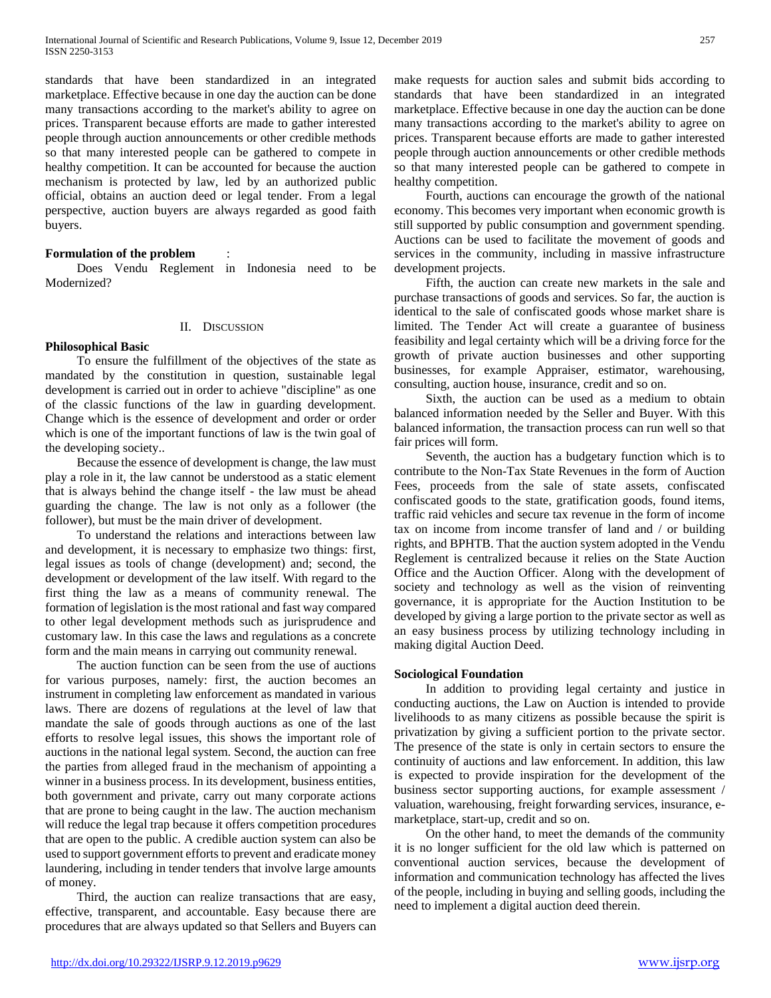standards that have been standardized in an integrated marketplace. Effective because in one day the auction can be done many transactions according to the market's ability to agree on prices. Transparent because efforts are made to gather interested people through auction announcements or other credible methods so that many interested people can be gathered to compete in healthy competition. It can be accounted for because the auction mechanism is protected by law, led by an authorized public official, obtains an auction deed or legal tender. From a legal perspective, auction buyers are always regarded as good faith buyers.

# **Formulation of the problem** :

 Does Vendu Reglement in Indonesia need to be Modernized?

# II. DISCUSSION

#### **Philosophical Basic**

 To ensure the fulfillment of the objectives of the state as mandated by the constitution in question, sustainable legal development is carried out in order to achieve "discipline" as one of the classic functions of the law in guarding development. Change which is the essence of development and order or order which is one of the important functions of law is the twin goal of the developing society..

 Because the essence of development is change, the law must play a role in it, the law cannot be understood as a static element that is always behind the change itself - the law must be ahead guarding the change. The law is not only as a follower (the follower), but must be the main driver of development.

 To understand the relations and interactions between law and development, it is necessary to emphasize two things: first, legal issues as tools of change (development) and; second, the development or development of the law itself. With regard to the first thing the law as a means of community renewal. The formation of legislation is the most rational and fast way compared to other legal development methods such as jurisprudence and customary law. In this case the laws and regulations as a concrete form and the main means in carrying out community renewal.

 The auction function can be seen from the use of auctions for various purposes, namely: first, the auction becomes an instrument in completing law enforcement as mandated in various laws. There are dozens of regulations at the level of law that mandate the sale of goods through auctions as one of the last efforts to resolve legal issues, this shows the important role of auctions in the national legal system. Second, the auction can free the parties from alleged fraud in the mechanism of appointing a winner in a business process. In its development, business entities, both government and private, carry out many corporate actions that are prone to being caught in the law. The auction mechanism will reduce the legal trap because it offers competition procedures that are open to the public. A credible auction system can also be used to support government efforts to prevent and eradicate money laundering, including in tender tenders that involve large amounts of money.

 Third, the auction can realize transactions that are easy, effective, transparent, and accountable. Easy because there are procedures that are always updated so that Sellers and Buyers can make requests for auction sales and submit bids according to standards that have been standardized in an integrated marketplace. Effective because in one day the auction can be done many transactions according to the market's ability to agree on prices. Transparent because efforts are made to gather interested people through auction announcements or other credible methods so that many interested people can be gathered to compete in healthy competition.

 Fourth, auctions can encourage the growth of the national economy. This becomes very important when economic growth is still supported by public consumption and government spending. Auctions can be used to facilitate the movement of goods and services in the community, including in massive infrastructure development projects.

 Fifth, the auction can create new markets in the sale and purchase transactions of goods and services. So far, the auction is identical to the sale of confiscated goods whose market share is limited. The Tender Act will create a guarantee of business feasibility and legal certainty which will be a driving force for the growth of private auction businesses and other supporting businesses, for example Appraiser, estimator, warehousing, consulting, auction house, insurance, credit and so on.

 Sixth, the auction can be used as a medium to obtain balanced information needed by the Seller and Buyer. With this balanced information, the transaction process can run well so that fair prices will form.

 Seventh, the auction has a budgetary function which is to contribute to the Non-Tax State Revenues in the form of Auction Fees, proceeds from the sale of state assets, confiscated confiscated goods to the state, gratification goods, found items, traffic raid vehicles and secure tax revenue in the form of income tax on income from income transfer of land and / or building rights, and BPHTB. That the auction system adopted in the Vendu Reglement is centralized because it relies on the State Auction Office and the Auction Officer. Along with the development of society and technology as well as the vision of reinventing governance, it is appropriate for the Auction Institution to be developed by giving a large portion to the private sector as well as an easy business process by utilizing technology including in making digital Auction Deed.

#### **Sociological Foundation**

 In addition to providing legal certainty and justice in conducting auctions, the Law on Auction is intended to provide livelihoods to as many citizens as possible because the spirit is privatization by giving a sufficient portion to the private sector. The presence of the state is only in certain sectors to ensure the continuity of auctions and law enforcement. In addition, this law is expected to provide inspiration for the development of the business sector supporting auctions, for example assessment / valuation, warehousing, freight forwarding services, insurance, emarketplace, start-up, credit and so on.

 On the other hand, to meet the demands of the community it is no longer sufficient for the old law which is patterned on conventional auction services, because the development of information and communication technology has affected the lives of the people, including in buying and selling goods, including the need to implement a digital auction deed therein.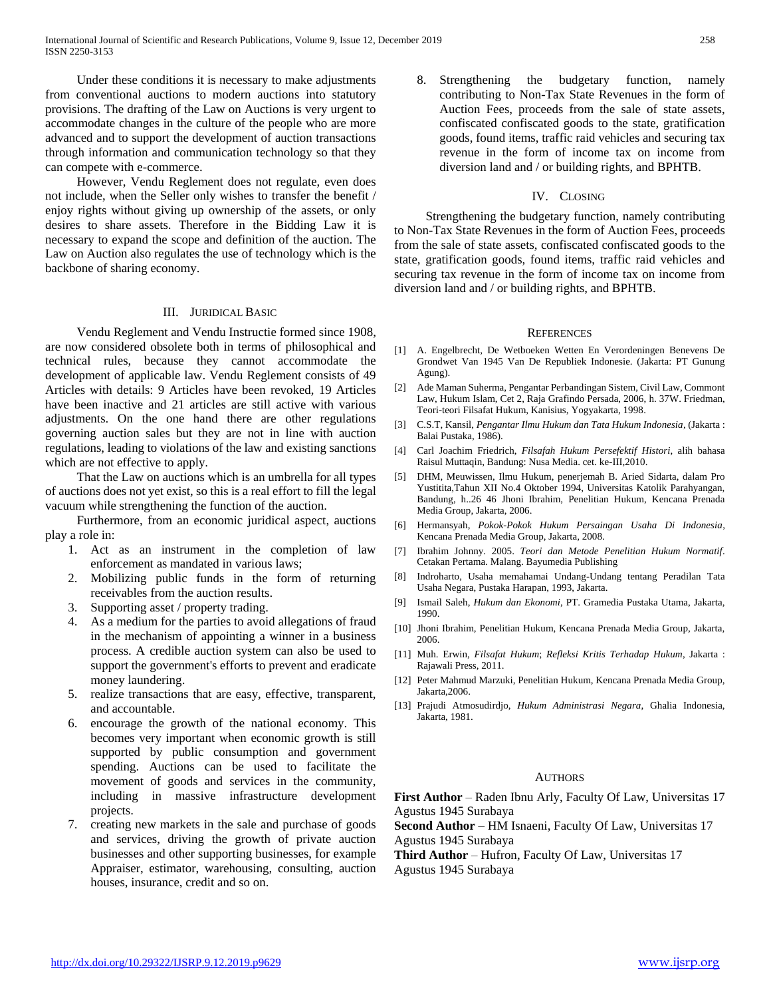Under these conditions it is necessary to make adjustments from conventional auctions to modern auctions into statutory provisions. The drafting of the Law on Auctions is very urgent to accommodate changes in the culture of the people who are more advanced and to support the development of auction transactions through information and communication technology so that they can compete with e-commerce.

 However, Vendu Reglement does not regulate, even does not include, when the Seller only wishes to transfer the benefit / enjoy rights without giving up ownership of the assets, or only desires to share assets. Therefore in the Bidding Law it is necessary to expand the scope and definition of the auction. The Law on Auction also regulates the use of technology which is the backbone of sharing economy.

# III. JURIDICAL BASIC

 Vendu Reglement and Vendu Instructie formed since 1908, are now considered obsolete both in terms of philosophical and technical rules, because they cannot accommodate the development of applicable law. Vendu Reglement consists of 49 Articles with details: 9 Articles have been revoked, 19 Articles have been inactive and 21 articles are still active with various adjustments. On the one hand there are other regulations governing auction sales but they are not in line with auction regulations, leading to violations of the law and existing sanctions which are not effective to apply.

 That the Law on auctions which is an umbrella for all types of auctions does not yet exist, so this is a real effort to fill the legal vacuum while strengthening the function of the auction.

 Furthermore, from an economic juridical aspect, auctions play a role in:

- 1. Act as an instrument in the completion of law enforcement as mandated in various laws;
- 2. Mobilizing public funds in the form of returning receivables from the auction results.
- 3. Supporting asset / property trading.
- 4. As a medium for the parties to avoid allegations of fraud in the mechanism of appointing a winner in a business process. A credible auction system can also be used to support the government's efforts to prevent and eradicate money laundering.
- 5. realize transactions that are easy, effective, transparent, and accountable.
- 6. encourage the growth of the national economy. This becomes very important when economic growth is still supported by public consumption and government spending. Auctions can be used to facilitate the movement of goods and services in the community, including in massive infrastructure development projects.
- 7. creating new markets in the sale and purchase of goods and services, driving the growth of private auction businesses and other supporting businesses, for example Appraiser, estimator, warehousing, consulting, auction houses, insurance, credit and so on.

8. Strengthening the budgetary function, namely contributing to Non-Tax State Revenues in the form of Auction Fees, proceeds from the sale of state assets, confiscated confiscated goods to the state, gratification goods, found items, traffic raid vehicles and securing tax revenue in the form of income tax on income from diversion land and / or building rights, and BPHTB.

#### IV. CLOSING

 Strengthening the budgetary function, namely contributing to Non-Tax State Revenues in the form of Auction Fees, proceeds from the sale of state assets, confiscated confiscated goods to the state, gratification goods, found items, traffic raid vehicles and securing tax revenue in the form of income tax on income from diversion land and / or building rights, and BPHTB.

#### **REFERENCES**

- [1] A. Engelbrecht, De Wetboeken Wetten En Verordeningen Benevens De Grondwet Van 1945 Van De Republiek Indonesie. (Jakarta: PT Gunung Agung).
- [2] Ade Maman Suherma, Pengantar Perbandingan Sistem, Civil Law, Commont Law, Hukum Islam, Cet 2, Raja Grafindo Persada, 2006, h. 37W. Friedman, Teori-teori Filsafat Hukum, Kanisius, Yogyakarta, 1998.
- [3] C.S.T, Kansil, *Pengantar Ilmu Hukum dan Tata Hukum Indonesia*, (Jakarta : Balai Pustaka, 1986).
- [4] Carl Joachim Friedrich, *Filsafah Hukum Persefektif Histori*, alih bahasa Raisul Muttaqin, Bandung: Nusa Media. cet. ke-III,2010.
- [5] DHM, Meuwissen, Ilmu Hukum, penerjemah B. Aried Sidarta, dalam Pro Yustitita,Tahun XII No.4 Oktober 1994, Universitas Katolik Parahyangan, Bandung, h..26 46 Jhoni Ibrahim, Penelitian Hukum, Kencana Prenada Media Group, Jakarta, 2006.
- [6] Hermansyah, *Pokok-Pokok Hukum Persaingan Usaha Di Indonesia*, Kencana Prenada Media Group, Jakarta, 2008.
- [7] Ibrahim Johnny. 2005. *Teori dan Metode Penelitian Hukum Normatif*. Cetakan Pertama. Malang. Bayumedia Publishing
- [8] Indroharto, Usaha memahamai Undang-Undang tentang Peradilan Tata Usaha Negara, Pustaka Harapan, 1993, Jakarta.
- [9] Ismail Saleh, *Hukum dan Ekonomi*, PT. Gramedia Pustaka Utama, Jakarta, 1990.
- [10] Jhoni Ibrahim, Penelitian Hukum, Kencana Prenada Media Group, Jakarta, 2006.
- [11] Muh. Erwin, *Filsafat Hukum*; *Refleksi Kritis Terhadap Hukum*, Jakarta : Rajawali Press, 2011.
- [12] Peter Mahmud Marzuki, Penelitian Hukum, Kencana Prenada Media Group, Jakarta,2006.
- [13] Prajudi Atmosudirdjo, *Hukum Administrasi Negara*, Ghalia Indonesia, Jakarta, 1981.

#### AUTHORS

First Author – Raden Ibnu Arly, Faculty Of Law, Universitas 17 Agustus 1945 Surabaya

**Second Author** – HM Isnaeni, Faculty Of Law, Universitas 17 Agustus 1945 Surabaya

**Third Author** – Hufron, Faculty Of Law, Universitas 17 Agustus 1945 Surabaya